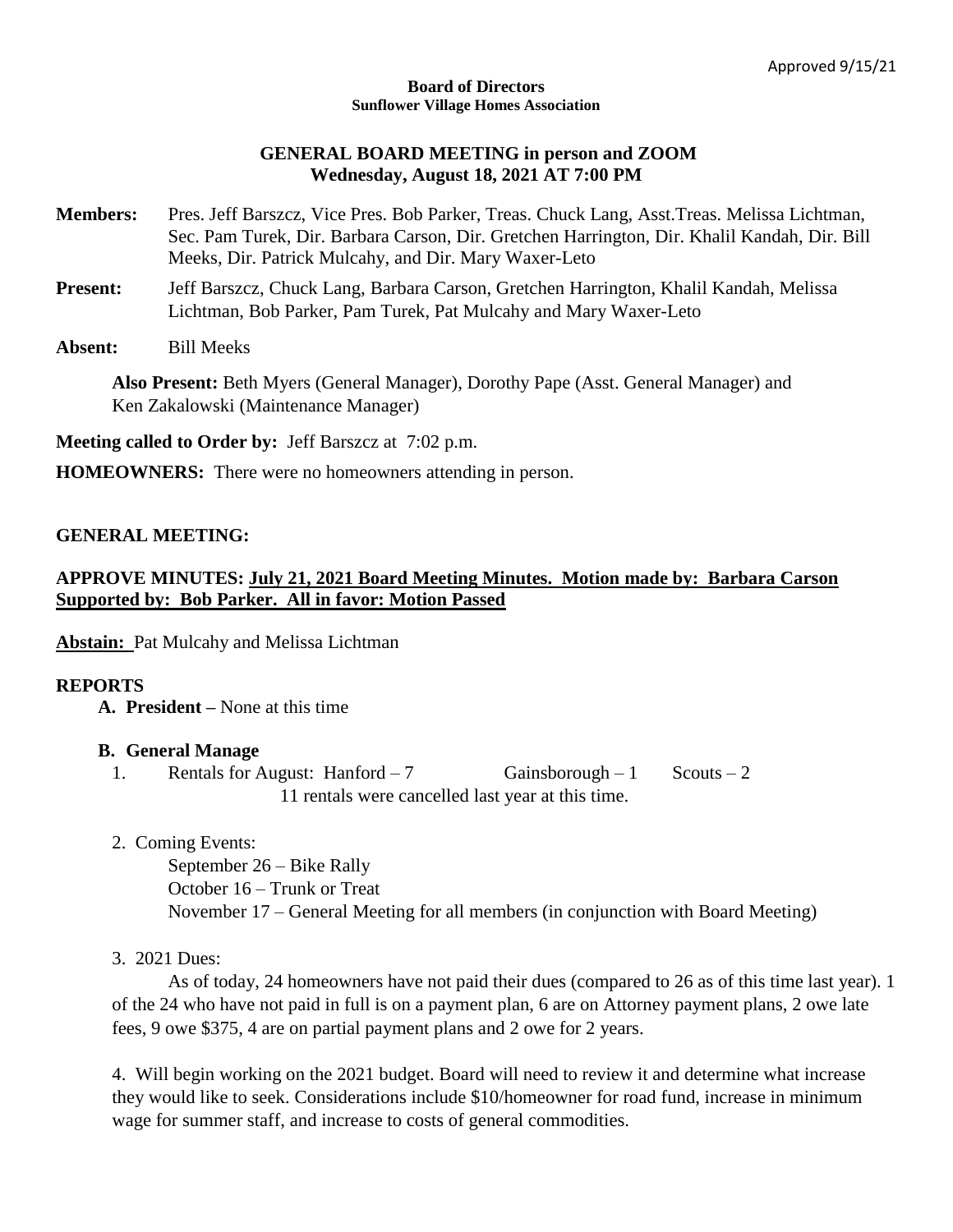#### **Board of Directors Sunflower Village Homes Association**

### **GENERAL BOARD MEETING in person and ZOOM Wednesday, August 18, 2021 AT 7:00 PM**

- **Members:** Pres. Jeff Barszcz, Vice Pres. Bob Parker, Treas. Chuck Lang, Asst.Treas. Melissa Lichtman, Sec. Pam Turek, Dir. Barbara Carson, Dir. Gretchen Harrington, Dir. Khalil Kandah, Dir. Bill Meeks, Dir. Patrick Mulcahy, and Dir. Mary Waxer-Leto
- **Present:** Jeff Barszcz, Chuck Lang, Barbara Carson, Gretchen Harrington, Khalil Kandah, Melissa Lichtman, Bob Parker, Pam Turek, Pat Mulcahy and Mary Waxer-Leto
- **Absent:** Bill Meeks

**Also Present:** Beth Myers (General Manager), Dorothy Pape (Asst. General Manager) and Ken Zakalowski (Maintenance Manager)

**Meeting called to Order by:** Jeff Barszcz at 7:02 p.m.

**HOMEOWNERS:** There were no homeowners attending in person.

## **GENERAL MEETING:**

## **APPROVE MINUTES: July 21, 2021 Board Meeting Minutes. Motion made by: Barbara Carson Supported by: Bob Parker. All in favor: Motion Passed**

**Abstain:** Pat Mulcahy and Melissa Lichtman

#### **REPORTS**

**A. President –** None at this time

#### **B. General Manage**

- 1. Rentals for August: Hanford 7 Gainsborough 1 Scouts 2 11 rentals were cancelled last year at this time.
- 2. Coming Events:

September 26 – Bike Rally October 16 – Trunk or Treat November 17 – General Meeting for all members (in conjunction with Board Meeting)

#### 3. 2021 Dues:

As of today, 24 homeowners have not paid their dues (compared to 26 as of this time last year). 1 of the 24 who have not paid in full is on a payment plan, 6 are on Attorney payment plans, 2 owe late fees, 9 owe \$375, 4 are on partial payment plans and 2 owe for 2 years.

4. Will begin working on the 2021 budget. Board will need to review it and determine what increase they would like to seek. Considerations include \$10/homeowner for road fund, increase in minimum wage for summer staff, and increase to costs of general commodities.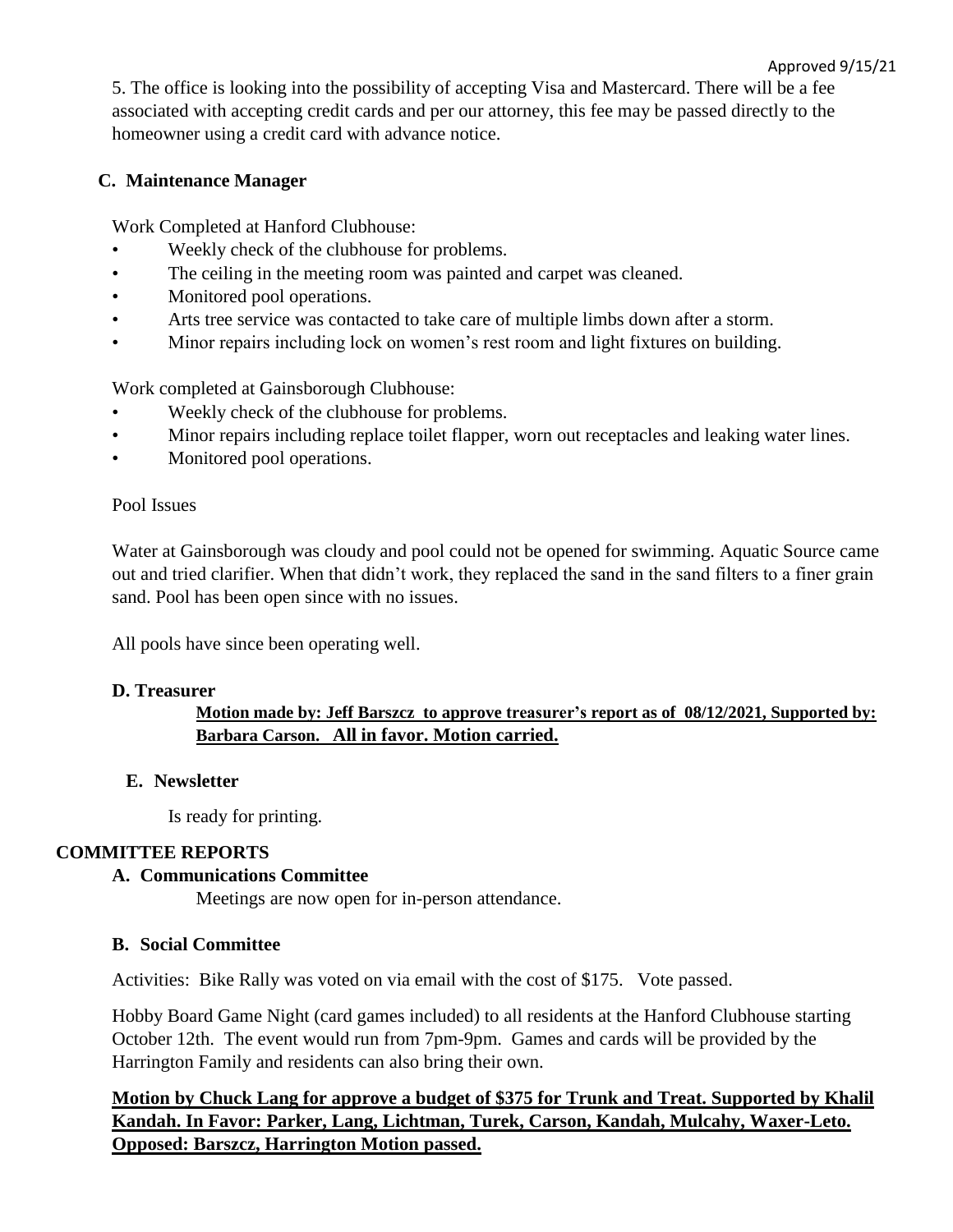Approved 9/15/21 5. The office is looking into the possibility of accepting Visa and Mastercard. There will be a fee associated with accepting credit cards and per our attorney, this fee may be passed directly to the homeowner using a credit card with advance notice.

# **C. Maintenance Manager**

Work Completed at Hanford Clubhouse:

- Weekly check of the clubhouse for problems.
- The ceiling in the meeting room was painted and carpet was cleaned.
- Monitored pool operations.
- Arts tree service was contacted to take care of multiple limbs down after a storm.
- Minor repairs including lock on women's rest room and light fixtures on building.

Work completed at Gainsborough Clubhouse:

- Weekly check of the clubhouse for problems.
- Minor repairs including replace toilet flapper, worn out receptacles and leaking water lines.
- Monitored pool operations.

### Pool Issues

Water at Gainsborough was cloudy and pool could not be opened for swimming. Aquatic Source came out and tried clarifier. When that didn't work, they replaced the sand in the sand filters to a finer grain sand. Pool has been open since with no issues.

All pools have since been operating well.

## **D. Treasurer**

# **Motion made by: Jeff Barszcz to approve treasurer's report as of 08/12/2021, Supported by: Barbara Carson. All in favor. Motion carried.**

## **E. Newsletter**

Is ready for printing.

## **COMMITTEE REPORTS**

## **A. Communications Committee**

Meetings are now open for in-person attendance.

## **B. Social Committee**

Activities: Bike Rally was voted on via email with the cost of \$175. Vote passed.

Hobby Board Game Night (card games included) to all residents at the Hanford Clubhouse starting October 12th. The event would run from 7pm-9pm. Games and cards will be provided by the Harrington Family and residents can also bring their own.

**Motion by Chuck Lang for approve a budget of \$375 for Trunk and Treat. Supported by Khalil Kandah. In Favor: Parker, Lang, Lichtman, Turek, Carson, Kandah, Mulcahy, Waxer-Leto. Opposed: Barszcz, Harrington Motion passed.**